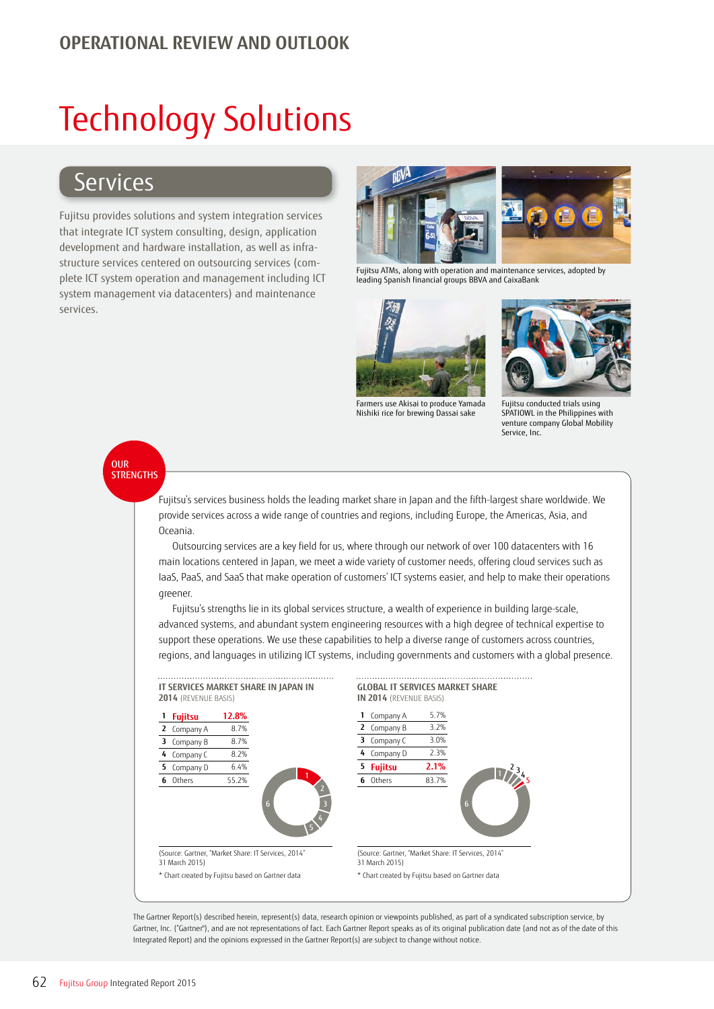## **OPERATIONAL REVIEW AND OUTLOOK**

# Technology Solutions

## **Services**

Fujitsu provides solutions and system integration services that integrate ICT system consulting, design, application development and hardware installation, as well as infrastructure services centered on outsourcing services (complete ICT system operation and management including ICT system management via datacenters) and maintenance services.



Fujitsu ATMs, along with operation and maintenance services, adopted by leading Spanish financial groups BBVA and CaixaBank



Farmers use Akisai to produce Yamada Nishiki rice for brewing Dassai sake



Fujitsu conducted trials using SPATIOWL in the Philippines with venture company Global Mobility Service, Inc.

## OUR **STRENGTHS**

Fujitsu's services business holds the leading market share in Japan and the fifth-largest share worldwide. We provide services across a wide range of countries and regions, including Europe, the Americas, Asia, and Oceania.

Outsourcing services are a key field for us, where through our network of over 100 datacenters with 16 main locations centered in Japan, we meet a wide variety of customer needs, offering cloud services such as IaaS, PaaS, and SaaS that make operation of customers' ICT systems easier, and help to make their operations greener.

Fujitsu's strengths lie in its global services structure, a wealth of experience in building large-scale, advanced systems, and abundant system engineering resources with a high degree of technical expertise to support these operations. We use these capabilities to help a diverse range of customers across countries, regions, and languages in utilizing ICT systems, including governments and customers with a global presence.



The Gartner Report(s) described herein, represent(s) data, research opinion or viewpoints published, as part of a syndicated subscription service, by Gartner, Inc. ("Gartner"), and are not representations of fact. Each Gartner Report speaks as of its original publication date (and not as of the date of this Integrated Report) and the opinions expressed in the Gartner Report(s) are subject to change without notice.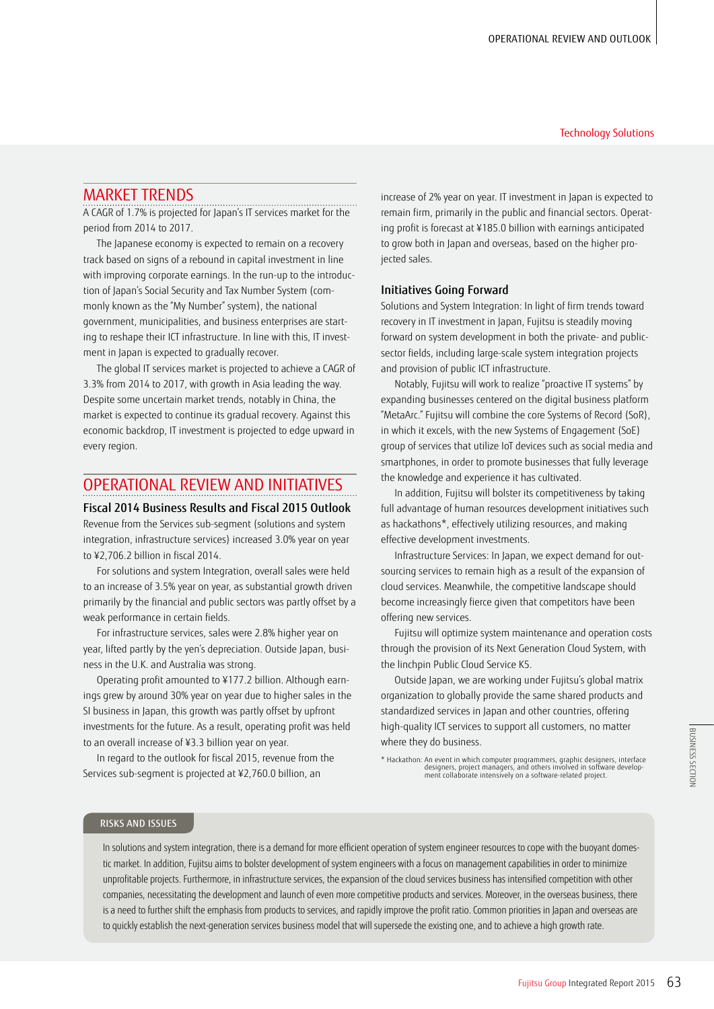#### Technology Solutions

## MARKET TRENDS

A CAGR of 1.7% is projected for Japan's IT services market for the period from 2014 to 2017.

The Japanese economy is expected to remain on a recovery track based on signs of a rebound in capital investment in line with improving corporate earnings. In the run-up to the introduction of Japan's Social Security and Tax Number System (commonly known as the "My Number" system), the national government, municipalities, and business enterprises are starting to reshape their ICT infrastructure. In line with this, IT investment in Japan is expected to gradually recover.

The global IT services market is projected to achieve a CAGR of 3.3% from 2014 to 2017, with growth in Asia leading the way. Despite some uncertain market trends, notably in China, the market is expected to continue its gradual recovery. Against this economic backdrop, IT investment is projected to edge upward in every region.

## OPERATIONAL REVIEW AND INITIATIVES

Fiscal 2014 Business Results and Fiscal 2015 Outlook Revenue from the Services sub-segment (solutions and system integration, infrastructure services) increased 3.0% year on year to ¥2,706.2 billion in fiscal 2014.

For solutions and system Integration, overall sales were held to an increase of 3.5% year on year, as substantial growth driven primarily by the financial and public sectors was partly offset by a weak performance in certain fields.

For infrastructure services, sales were 2.8% higher year on year, lifted partly by the yen's depreciation. Outside Japan, business in the U.K. and Australia was strong.

Operating profit amounted to ¥177.2 billion. Although earnings grew by around 30% year on year due to higher sales in the SI business in Japan, this growth was partly offset by upfront investments for the future. As a result, operating profit was held to an overall increase of ¥3.3 billion year on year.

In regard to the outlook for fiscal 2015, revenue from the Services sub-segment is projected at ¥2,760.0 billion, an

increase of 2% year on year. IT investment in Japan is expected to remain firm, primarily in the public and financial sectors. Operating profit is forecast at ¥185.0 billion with earnings anticipated to grow both in Japan and overseas, based on the higher projected sales.

#### Initiatives Going Forward

Solutions and System Integration: In light of firm trends toward recovery in IT investment in Japan, Fujitsu is steadily moving forward on system development in both the private- and publicsector fields, including large-scale system integration projects and provision of public ICT infrastructure.

Notably, Fujitsu will work to realize "proactive IT systems" by expanding businesses centered on the digital business platform "MetaArc." Fujitsu will combine the core Systems of Record (SoR), in which it excels, with the new Systems of Engagement (SoE) group of services that utilize IoT devices such as social media and smartphones, in order to promote businesses that fully leverage the knowledge and experience it has cultivated.

In addition, Fujitsu will bolster its competitiveness by taking full advantage of human resources development initiatives such as hackathons\*, effectively utilizing resources, and making effective development investments.

Infrastructure Services: In Japan, we expect demand for outsourcing services to remain high as a result of the expansion of cloud services. Meanwhile, the competitive landscape should become increasingly fierce given that competitors have been offering new services.

Fujitsu will optimize system maintenance and operation costs through the provision of its Next Generation Cloud System, with the linchpin Public Cloud Service K5.

Outside Japan, we are working under Fujitsu's global matrix organization to globally provide the same shared products and standardized services in Japan and other countries, offering high-quality ICT services to support all customers, no matter where they do business.

\* Hackathon: An event in which computer programmers, graphic designers, interface designers, project managers, and others involved in software develop-ment collaborate intensively on a software-related project.

### RISKS AND ISSUES

In solutions and system integration, there is a demand for more efficient operation of system engineer resources to cope with the buoyant domestic market. In addition, Fujitsu aims to bolster development of system engineers with a focus on management capabilities in order to minimize unprofitable projects. Furthermore, in infrastructure services, the expansion of the cloud services business has intensified competition with other companies, necessitating the development and launch of even more competitive products and services. Moreover, in the overseas business, there is a need to further shift the emphasis from products to services, and rapidly improve the profit ratio. Common priorities in Japan and overseas are to quickly establish the next-generation services business model that will supersede the existing one, and to achieve a high growth rate.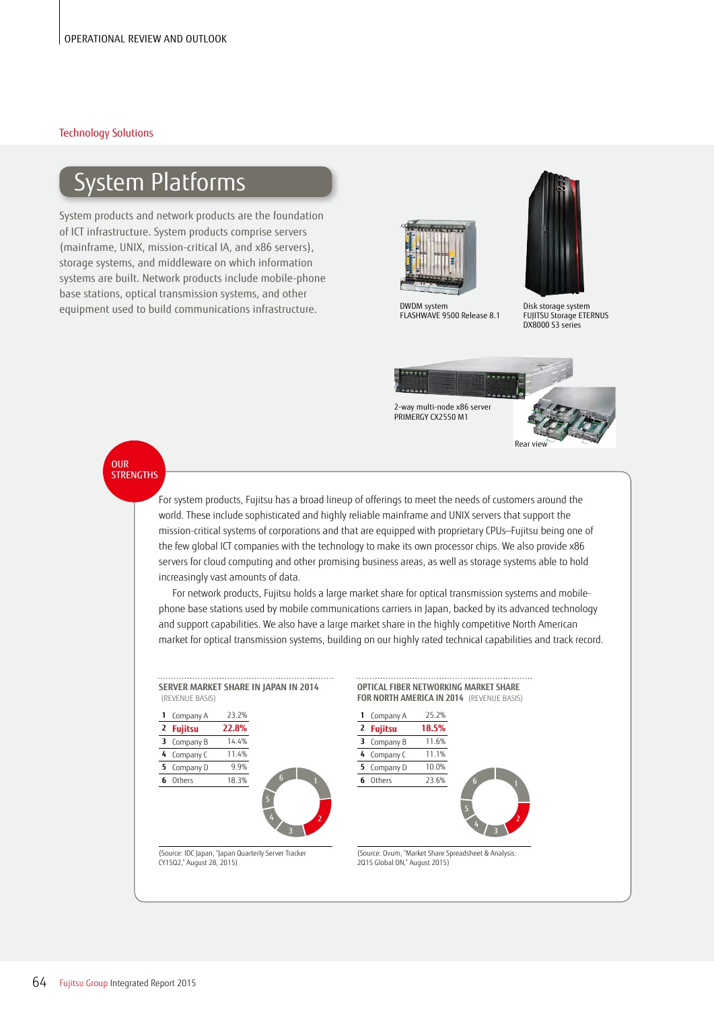### Technology Solutions

## System Platforms

System products and network products are the foundation of ICT infrastructure. System products comprise servers (mainframe, UNIX, mission-critical IA, and x86 servers), storage systems, and middleware on which information systems are built. Network products include mobile-phone base stations, optical transmission systems, and other equipment used to build communications infrastructure.



DWDM system FLASHWAVE 9500 Release 8.1



Disk storage system FUJITSU Storage ETERNUS DX8000 S3 series



OUR **STRENGTHS** 

> For system products, Fujitsu has a broad lineup of offerings to meet the needs of customers around the world. These include sophisticated and highly reliable mainframe and UNIX servers that support the mission-critical systems of corporations and that are equipped with proprietary CPUs—Fujitsu being one of the few global ICT companies with the technology to make its own processor chips. We also provide x86 servers for cloud computing and other promising business areas, as well as storage systems able to hold increasingly vast amounts of data.

For network products, Fujitsu holds a large market share for optical transmission systems and mobilephone base stations used by mobile communications carriers in Japan, backed by its advanced technology and support capabilities. We also have a large market share in the highly competitive North American market for optical transmission systems, building on our highly rated technical capabilities and track record.

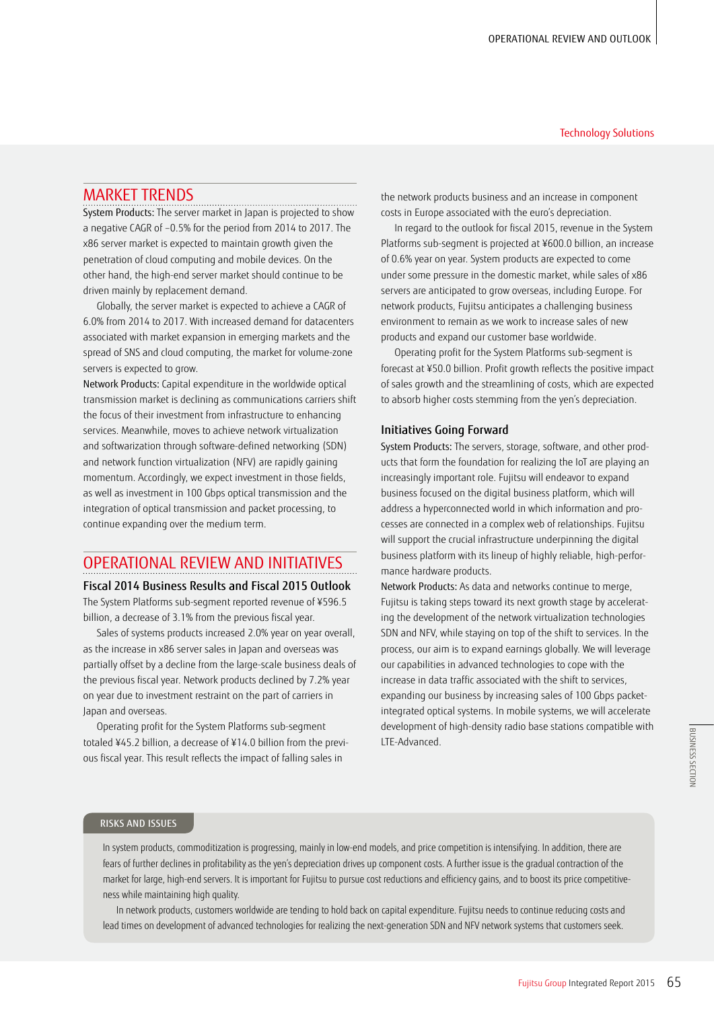#### Technology Solutions

## MARKET TRENDS

System Products: The server market in Japan is projected to show a negative CAGR of –0.5% for the period from 2014 to 2017. The x86 server market is expected to maintain growth given the penetration of cloud computing and mobile devices. On the other hand, the high-end server market should continue to be driven mainly by replacement demand.

Globally, the server market is expected to achieve a CAGR of 6.0% from 2014 to 2017. With increased demand for datacenters associated with market expansion in emerging markets and the spread of SNS and cloud computing, the market for volume-zone servers is expected to grow.

Network Products: Capital expenditure in the worldwide optical transmission market is declining as communications carriers shift the focus of their investment from infrastructure to enhancing services. Meanwhile, moves to achieve network virtualization and softwarization through software-defined networking (SDN) and network function virtualization (NFV) are rapidly gaining momentum. Accordingly, we expect investment in those fields, as well as investment in 100 Gbps optical transmission and the integration of optical transmission and packet processing, to continue expanding over the medium term.

## OPERATIONAL REVIEW AND INITIATIVES

Fiscal 2014 Business Results and Fiscal 2015 Outlook The System Platforms sub-segment reported revenue of ¥596.5 billion, a decrease of 3.1% from the previous fiscal year.

Sales of systems products increased 2.0% year on year overall, as the increase in x86 server sales in Japan and overseas was partially offset by a decline from the large-scale business deals of the previous fiscal year. Network products declined by 7.2% year on year due to investment restraint on the part of carriers in Japan and overseas.

Operating profit for the System Platforms sub-segment totaled ¥45.2 billion, a decrease of ¥14.0 billion from the previous fiscal year. This result reflects the impact of falling sales in

the network products business and an increase in component costs in Europe associated with the euro's depreciation.

In regard to the outlook for fiscal 2015, revenue in the System Platforms sub-segment is projected at ¥600.0 billion, an increase of 0.6% year on year. System products are expected to come under some pressure in the domestic market, while sales of x86 servers are anticipated to grow overseas, including Europe. For network products, Fujitsu anticipates a challenging business environment to remain as we work to increase sales of new products and expand our customer base worldwide.

Operating profit for the System Platforms sub-segment is forecast at ¥50.0 billion. Profit growth reflects the positive impact of sales growth and the streamlining of costs, which are expected to absorb higher costs stemming from the yen's depreciation.

### Initiatives Going Forward

System Products: The servers, storage, software, and other products that form the foundation for realizing the IoT are playing an increasingly important role. Fujitsu will endeavor to expand business focused on the digital business platform, which will address a hyperconnected world in which information and processes are connected in a complex web of relationships. Fujitsu will support the crucial infrastructure underpinning the digital business platform with its lineup of highly reliable, high-performance hardware products.

Network Products: As data and networks continue to merge, Fujitsu is taking steps toward its next growth stage by accelerating the development of the network virtualization technologies SDN and NFV, while staying on top of the shift to services. In the process, our aim is to expand earnings globally. We will leverage our capabilities in advanced technologies to cope with the increase in data traffic associated with the shift to services, expanding our business by increasing sales of 100 Gbps packetintegrated optical systems. In mobile systems, we will accelerate development of high-density radio base stations compatible with LTE-Advanced.

### RISKS AND ISSUES

In system products, commoditization is progressing, mainly in low-end models, and price competition is intensifying. In addition, there are fears of further declines in profitability as the yen's depreciation drives up component costs. A further issue is the gradual contraction of the market for large, high-end servers. It is important for Fujitsu to pursue cost reductions and efficiency gains, and to boost its price competitiveness while maintaining high quality.

In network products, customers worldwide are tending to hold back on capital expenditure. Fujitsu needs to continue reducing costs and lead times on development of advanced technologies for realizing the next-generation SDN and NFV network systems that customers seek.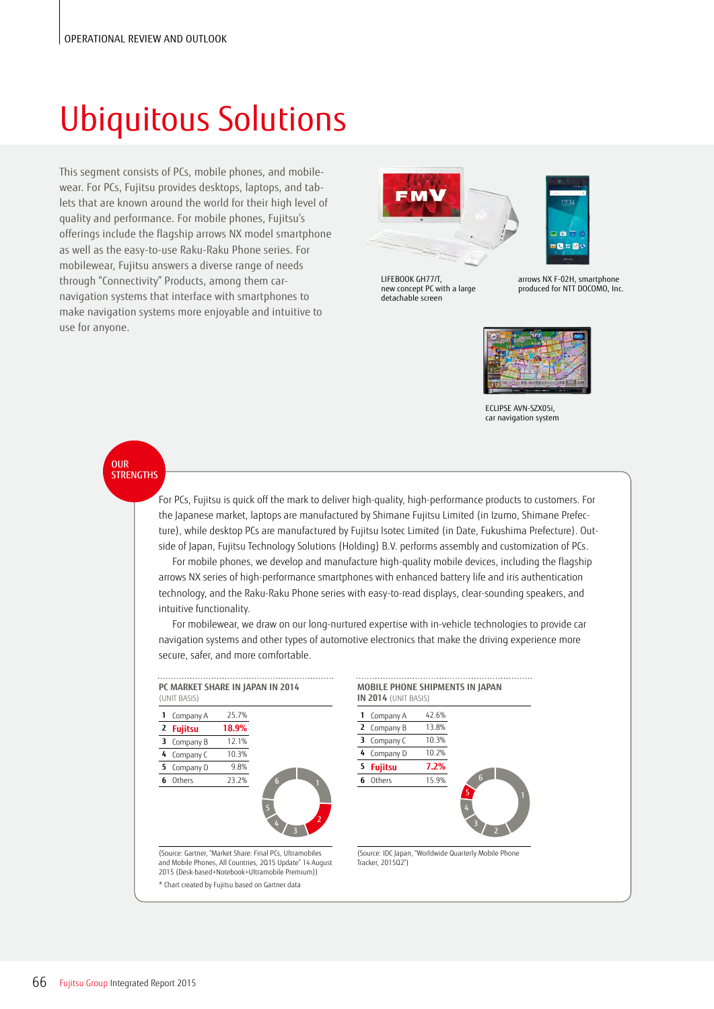# Ubiquitous Solutions

This segment consists of PCs, mobile phones, and mobilewear. For PCs, Fujitsu provides desktops, laptops, and tablets that are known around the world for their high level of quality and performance. For mobile phones, Fujitsu's offerings include the flagship arrows NX model smartphone as well as the easy-to-use Raku-Raku Phone series. For mobilewear, Fujitsu answers a diverse range of needs through "Connectivity" Products, among them carnavigation systems that interface with smartphones to make navigation systems more enjoyable and intuitive to use for anyone.



LIFEBOOK GH77/T, new concept PC with a large detachable screen



 $\mathbf{S} \times \mathbf{S}$ 



ECLIPSE AVN-SZX05i, car navigation system

OUR **STRENGTHS** 

> For PCs, Fujitsu is quick off the mark to deliver high-quality, high-performance products to customers. For the Japanese market, laptops are manufactured by Shimane Fujitsu Limited (in Izumo, Shimane Prefecture), while desktop PCs are manufactured by Fujitsu Isotec Limited (in Date, Fukushima Prefecture). Outside of Japan, Fujitsu Technology Solutions (Holding) B.V. performs assembly and customization of PCs.

For mobile phones, we develop and manufacture high-quality mobile devices, including the flagship arrows NX series of high-performance smartphones with enhanced battery life and iris authentication technology, and the Raku-Raku Phone series with easy-to-read displays, clear-sounding speakers, and intuitive functionality.

For mobilewear, we draw on our long-nurtured expertise with in-vehicle technologies to provide car navigation systems and other types of automotive electronics that make the driving experience more secure, safer, and more comfortable.





(Source: IDC Japan, "Worldwide Quarterly Mobile Phone Tracker, 2015Q2")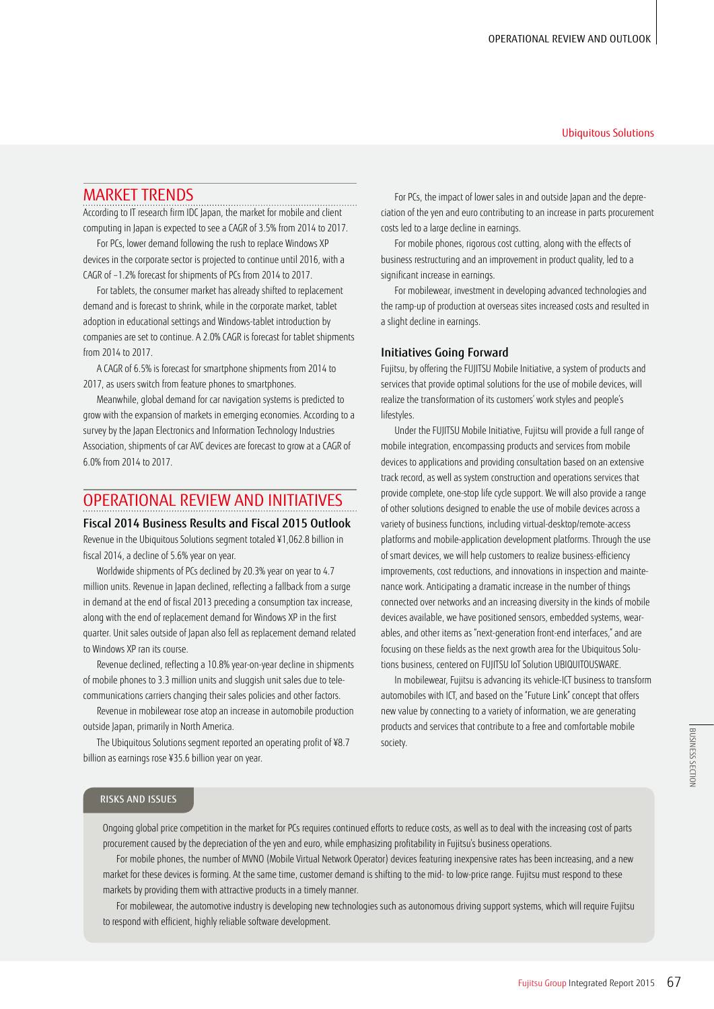#### Ubiquitous Solutions

## MARKET TRENDS

According to IT research firm IDC Japan, the market for mobile and client computing in Japan is expected to see a CAGR of 3.5% from 2014 to 2017.

For PCs, lower demand following the rush to replace Windows XP devices in the corporate sector is projected to continue until 2016, with a CAGR of –1.2% forecast for shipments of PCs from 2014 to 2017.

For tablets, the consumer market has already shifted to replacement demand and is forecast to shrink, while in the corporate market, tablet adoption in educational settings and Windows-tablet introduction by companies are set to continue. A 2.0% CAGR is forecast for tablet shipments from 2014 to 2017.

A CAGR of 6.5% is forecast for smartphone shipments from 2014 to 2017, as users switch from feature phones to smartphones.

Meanwhile, global demand for car navigation systems is predicted to grow with the expansion of markets in emerging economies. According to a survey by the Japan Electronics and Information Technology Industries Association, shipments of car AVC devices are forecast to grow at a CAGR of 6.0% from 2014 to 2017.

## OPERATIONAL REVIEW AND INITIATIVES

Fiscal 2014 Business Results and Fiscal 2015 Outlook Revenue in the Ubiquitous Solutions segment totaled ¥1,062.8 billion in fiscal 2014, a decline of 5.6% year on year.

Worldwide shipments of PCs declined by 20.3% year on year to 4.7 million units. Revenue in Japan declined, reflecting a fallback from a surge in demand at the end of fiscal 2013 preceding a consumption tax increase, along with the end of replacement demand for Windows XP in the first quarter. Unit sales outside of Japan also fell as replacement demand related to Windows XP ran its course.

Revenue declined, reflecting a 10.8% year-on-year decline in shipments of mobile phones to 3.3 million units and sluggish unit sales due to telecommunications carriers changing their sales policies and other factors.

Revenue in mobilewear rose atop an increase in automobile production outside Japan, primarily in North America.

The Ubiquitous Solutions segment reported an operating profit of ¥8.7 billion as earnings rose ¥35.6 billion year on year.

For PCs, the impact of lower sales in and outside Japan and the depreciation of the yen and euro contributing to an increase in parts procurement costs led to a large decline in earnings.

For mobile phones, rigorous cost cutting, along with the effects of business restructuring and an improvement in product quality, led to a significant increase in earnings.

For mobilewear, investment in developing advanced technologies and the ramp-up of production at overseas sites increased costs and resulted in a slight decline in earnings.

#### Initiatives Going Forward

Fujitsu, by offering the FUJITSU Mobile Initiative, a system of products and services that provide optimal solutions for the use of mobile devices, will realize the transformation of its customers' work styles and people's lifestyles.

Under the FUJITSU Mobile Initiative, Fujitsu will provide a full range of mobile integration, encompassing products and services from mobile devices to applications and providing consultation based on an extensive track record, as well as system construction and operations services that provide complete, one-stop life cycle support. We will also provide a range of other solutions designed to enable the use of mobile devices across a variety of business functions, including virtual-desktop/remote-access platforms and mobile-application development platforms. Through the use of smart devices, we will help customers to realize business-efficiency improvements, cost reductions, and innovations in inspection and maintenance work. Anticipating a dramatic increase in the number of things connected over networks and an increasing diversity in the kinds of mobile devices available, we have positioned sensors, embedded systems, wearables, and other items as "next-generation front-end interfaces," and are focusing on these fields as the next growth area for the Ubiquitous Solutions business, centered on FUJITSU IoT Solution UBIQUITOUSWARE.

In mobilewear, Fujitsu is advancing its vehicle-ICT business to transform automobiles with ICT, and based on the "Future Link" concept that offers new value by connecting to a variety of information, we are generating products and services that contribute to a free and comfortable mobile society.

### RISKS AND ISSUES

Ongoing global price competition in the market for PCs requires continued efforts to reduce costs, as well as to deal with the increasing cost of parts procurement caused by the depreciation of the yen and euro, while emphasizing profitability in Fujitsu's business operations.

For mobile phones, the number of MVNO (Mobile Virtual Network Operator) devices featuring inexpensive rates has been increasing, and a new market for these devices is forming. At the same time, customer demand is shifting to the mid- to low-price range. Fujitsu must respond to these markets by providing them with attractive products in a timely manner.

For mobilewear, the automotive industry is developing new technologies such as autonomous driving support systems, which will require Fujitsu to respond with efficient, highly reliable software development.